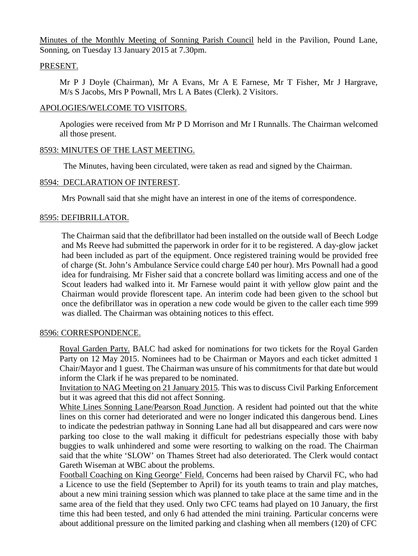Minutes of the Monthly Meeting of Sonning Parish Council held in the Pavilion, Pound Lane, Sonning, on Tuesday 13 January 2015 at 7.30pm.

### PRESENT.

Mr P J Doyle (Chairman), Mr A Evans, Mr A E Farnese, Mr T Fisher, Mr J Hargrave, M/s S Jacobs, Mrs P Pownall, Mrs L A Bates (Clerk). 2 Visitors.

# APOLOGIES/WELCOME TO VISITORS.

Apologies were received from Mr P D Morrison and Mr I Runnalls. The Chairman welcomed all those present.

# 8593: MINUTES OF THE LAST MEETING.

The Minutes, having been circulated, were taken as read and signed by the Chairman.

# 8594: DECLARATION OF INTEREST.

Mrs Pownall said that she might have an interest in one of the items of correspondence.

# 8595: DEFIBRILLATOR.

The Chairman said that the defibrillator had been installed on the outside wall of Beech Lodge and Ms Reeve had submitted the paperwork in order for it to be registered. A day-glow jacket had been included as part of the equipment. Once registered training would be provided free of charge (St. John's Ambulance Service could charge £40 per hour). Mrs Pownall had a good idea for fundraising. Mr Fisher said that a concrete bollard was limiting access and one of the Scout leaders had walked into it. Mr Farnese would paint it with yellow glow paint and the Chairman would provide florescent tape. An interim code had been given to the school but once the defibrillator was in operation a new code would be given to the caller each time 999 was dialled. The Chairman was obtaining notices to this effect.

#### 8596: CORRESPONDENCE.

Royal Garden Party. BALC had asked for nominations for two tickets for the Royal Garden Party on 12 May 2015. Nominees had to be Chairman or Mayors and each ticket admitted 1 Chair/Mayor and 1 guest. The Chairman was unsure of his commitments for that date but would inform the Clark if he was prepared to be nominated.

Invitation to NAG Meeting on 21 January 2015. This was to discuss Civil Parking Enforcement but it was agreed that this did not affect Sonning.

White Lines Sonning Lane/Pearson Road Junction. A resident had pointed out that the white lines on this corner had deteriorated and were no longer indicated this dangerous bend. Lines to indicate the pedestrian pathway in Sonning Lane had all but disappeared and cars were now parking too close to the wall making it difficult for pedestrians especially those with baby buggies to walk unhindered and some were resorting to walking on the road. The Chairman said that the white 'SLOW' on Thames Street had also deteriorated. The Clerk would contact Gareth Wiseman at WBC about the problems.

Football Coaching on King George' Field. Concerns had been raised by Charvil FC, who had a Licence to use the field (September to April) for its youth teams to train and play matches, about a new mini training session which was planned to take place at the same time and in the same area of the field that they used. Only two CFC teams had played on 10 January, the first time this had been tested, and only 6 had attended the mini training. Particular concerns were about additional pressure on the limited parking and clashing when all members (120) of CFC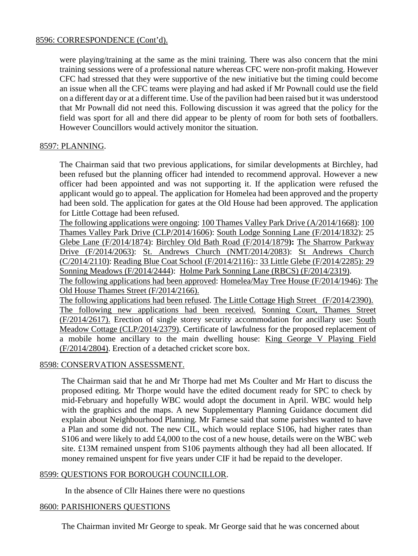### 8596: CORRESPONDENCE (Cont'd).

were playing/training at the same as the mini training. There was also concern that the mini training sessions were of a professional nature whereas CFC were non-profit making. However CFC had stressed that they were supportive of the new initiative but the timing could become an issue when all the CFC teams were playing and had asked if Mr Pownall could use the field on a different day or at a different time. Use of the pavilion had been raised but it was understood that Mr Pownall did not need this. Following discussion it was agreed that the policy for the field was sport for all and there did appear to be plenty of room for both sets of footballers. However Councillors would actively monitor the situation.

# 8597: PLANNING.

The Chairman said that two previous applications, for similar developments at Birchley, had been refused but the planning officer had intended to recommend approval. However a new officer had been appointed and was not supporting it. If the application were refused the applicant would go to appeal. The application for Homelea had been approved and the property had been sold. The application for gates at the Old House had been approved. The application for Little Cottage had been refused.

The following applications were ongoing: 100 Thames Valley Park Drive (A/2014/1668): 100 Thames Valley Park Drive (CLP/2014/1606): South Lodge Sonning Lane (F/2014/1832): 25 Glebe Lane (F/2014/1874): Birchley Old Bath Road (F/2014/1879**):** The Sharrow Parkway Drive (F/2014/2063): St. Andrews Church (NMT/2014/2083): St Andrews Church (C/2014/2110): Reading Blue Coat School (F/2014/2116):: 33 Little Glebe (F/2014/2285): 29 Sonning Meadows (F/2014/2444): Holme Park Sonning Lane (RBCS) (F/2014/2319). The following applications had been approved: Homelea/May Tree House (F/2014/1946): The Old House Thames Street (F/2014/2166).

The following applications had been refused. The Little Cottage High Street (F/2014/2390). The following new applications had been received. Sonning Court, Thames Street (F/2014/2617). Erection of single storey security accommodation for ancillary use: South Meadow Cottage (CLP/2014/2379). Certificate of lawfulness for the proposed replacement of a mobile home ancillary to the main dwelling house: King George V Playing Field (F/2014/2804). Erection of a detached cricket score box.

#### 8598: CONSERVATION ASSESSMENT.

The Chairman said that he and Mr Thorpe had met Ms Coulter and Mr Hart to discuss the proposed editing. Mr Thorpe would have the edited document ready for SPC to check by mid-February and hopefully WBC would adopt the document in April. WBC would help with the graphics and the maps. A new Supplementary Planning Guidance document did explain about Neighbourhood Planning. Mr Farnese said that some parishes wanted to have a Plan and some did not. The new CIL, which would replace S106, had higher rates than S106 and were likely to add £4,000 to the cost of a new house, details were on the WBC web site. £13M remained unspent from S106 payments although they had all been allocated. If money remained unspent for five years under CIF it had be repaid to the developer.

#### 8599: QUESTIONS FOR BOROUGH COUNCILLOR.

In the absence of Cllr Haines there were no questions

# 8600: PARISHIONERS QUESTIONS

The Chairman invited Mr George to speak. Mr George said that he was concerned about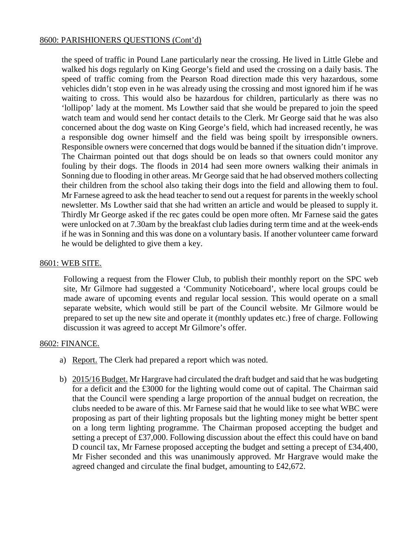### 8600: PARISHIONERS QUESTIONS (Cont'd)

the speed of traffic in Pound Lane particularly near the crossing. He lived in Little Glebe and walked his dogs regularly on King George's field and used the crossing on a daily basis. The speed of traffic coming from the Pearson Road direction made this very hazardous, some vehicles didn't stop even in he was already using the crossing and most ignored him if he was waiting to cross. This would also be hazardous for children, particularly as there was no 'lollipop' lady at the moment. Ms Lowther said that she would be prepared to join the speed watch team and would send her contact details to the Clerk. Mr George said that he was also concerned about the dog waste on King George's field, which had increased recently, he was a responsible dog owner himself and the field was being spoilt by irresponsible owners. Responsible owners were concerned that dogs would be banned if the situation didn't improve. The Chairman pointed out that dogs should be on leads so that owners could monitor any fouling by their dogs. The floods in 2014 had seen more owners walking their animals in Sonning due to flooding in other areas. Mr George said that he had observed mothers collecting their children from the school also taking their dogs into the field and allowing them to foul. Mr Farnese agreed to ask the head teacher to send out a request for parents in the weekly school newsletter. Ms Lowther said that she had written an article and would be pleased to supply it. Thirdly Mr George asked if the rec gates could be open more often. Mr Farnese said the gates were unlocked on at 7.30am by the breakfast club ladies during term time and at the week-ends if he was in Sonning and this was done on a voluntary basis. If another volunteer came forward he would be delighted to give them a key.

#### 8601: WEB SITE.

Following a request from the Flower Club, to publish their monthly report on the SPC web site, Mr Gilmore had suggested a 'Community Noticeboard', where local groups could be made aware of upcoming events and regular local session. This would operate on a small separate website, which would still be part of the Council website. Mr Gilmore would be prepared to set up the new site and operate it (monthly updates etc.) free of charge. Following discussion it was agreed to accept Mr Gilmore's offer.

#### 8602: FINANCE.

- a) Report. The Clerk had prepared a report which was noted.
- b) 2015/16 Budget. Mr Hargrave had circulated the draft budget and said that he was budgeting for a deficit and the £3000 for the lighting would come out of capital. The Chairman said that the Council were spending a large proportion of the annual budget on recreation, the clubs needed to be aware of this. Mr Farnese said that he would like to see what WBC were proposing as part of their lighting proposals but the lighting money might be better spent on a long term lighting programme. The Chairman proposed accepting the budget and setting a precept of £37,000. Following discussion about the effect this could have on band D council tax, Mr Farnese proposed accepting the budget and setting a precept of £34,400, Mr Fisher seconded and this was unanimously approved. Mr Hargrave would make the agreed changed and circulate the final budget, amounting to £42,672.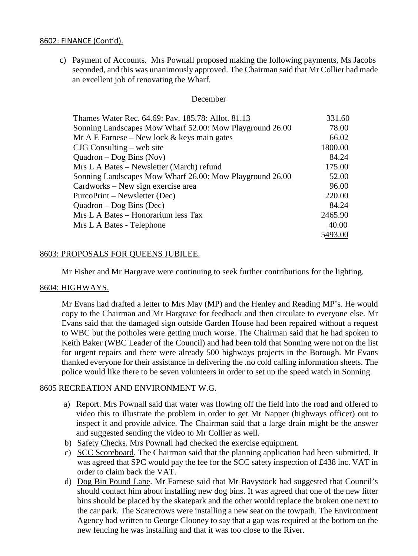#### 8602: FINANCE (Cont'd).

c) Payment of Accounts. Mrs Pownall proposed making the following payments, Ms Jacobs seconded, and this was unanimously approved. The Chairman said that Mr Collier had made an excellent job of renovating the Wharf.

#### December

| Thames Water Rec. 64.69: Pav. 185.78: Allot. 81.13       | 331.60  |
|----------------------------------------------------------|---------|
| Sonning Landscapes Mow Wharf 52.00: Mow Playground 26.00 | 78.00   |
| Mr A E Farnese – New lock $&$ keys main gates            | 66.02   |
| $CJG$ Consulting – web site                              | 1800.00 |
| Quadron $-\text{Dog Bins (Nov)}$                         | 84.24   |
| Mrs L A Bates – Newsletter (March) refund                | 175.00  |
| Sonning Landscapes Mow Wharf 26.00: Mow Playground 26.00 | 52.00   |
| Cardworks – New sign exercise area                       | 96.00   |
| PurcoPrint – Newsletter (Dec)                            | 220.00  |
| Quadron $-\text{Dog Bins}$ (Dec)                         | 84.24   |
| Mrs L A Bates - Honorarium less Tax                      | 2465.90 |
| Mrs L A Bates - Telephone                                | 40.00   |
|                                                          | 5493.00 |

#### 8603: PROPOSALS FOR QUEENS JUBILEE.

Mr Fisher and Mr Hargrave were continuing to seek further contributions for the lighting.

#### 8604: HIGHWAYS.

Mr Evans had drafted a letter to Mrs May (MP) and the Henley and Reading MP's. He would copy to the Chairman and Mr Hargrave for feedback and then circulate to everyone else. Mr Evans said that the damaged sign outside Garden House had been repaired without a request to WBC but the potholes were getting much worse. The Chairman said that he had spoken to Keith Baker (WBC Leader of the Council) and had been told that Sonning were not on the list for urgent repairs and there were already 500 highways projects in the Borough. Mr Evans thanked everyone for their assistance in delivering the .no cold calling information sheets. The police would like there to be seven volunteers in order to set up the speed watch in Sonning.

#### 8605 RECREATION AND ENVIRONMENT W.G.

- a) Report. Mrs Pownall said that water was flowing off the field into the road and offered to video this to illustrate the problem in order to get Mr Napper (highways officer) out to inspect it and provide advice. The Chairman said that a large drain might be the answer and suggested sending the video to Mr Collier as well.
- b) Safety Checks. Mrs Pownall had checked the exercise equipment.
- c) SCC Scoreboard. The Chairman said that the planning application had been submitted. It was agreed that SPC would pay the fee for the SCC safety inspection of £438 inc. VAT in order to claim back the VAT.
- d) Dog Bin Pound Lane. Mr Farnese said that Mr Bavystock had suggested that Council's should contact him about installing new dog bins. It was agreed that one of the new litter bins should be placed by the skatepark and the other would replace the broken one next to the car park. The Scarecrows were installing a new seat on the towpath. The Environment Agency had written to George Clooney to say that a gap was required at the bottom on the new fencing he was installing and that it was too close to the River.